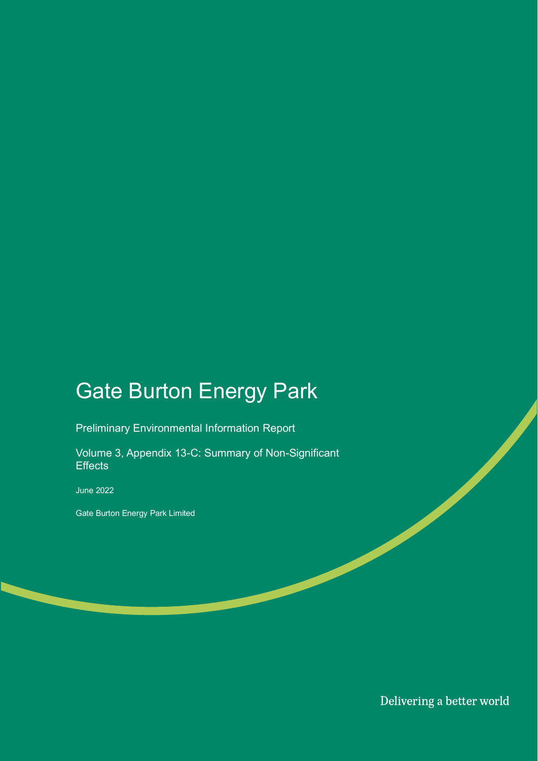## Gate Burton Energy Park

Preliminary Environmental Information Report

Volume 3, Appendix 13-C: Summary of Non-Significant **Effects** 

June 2022

Gate Burton Energy Park Limited

Delivering a better world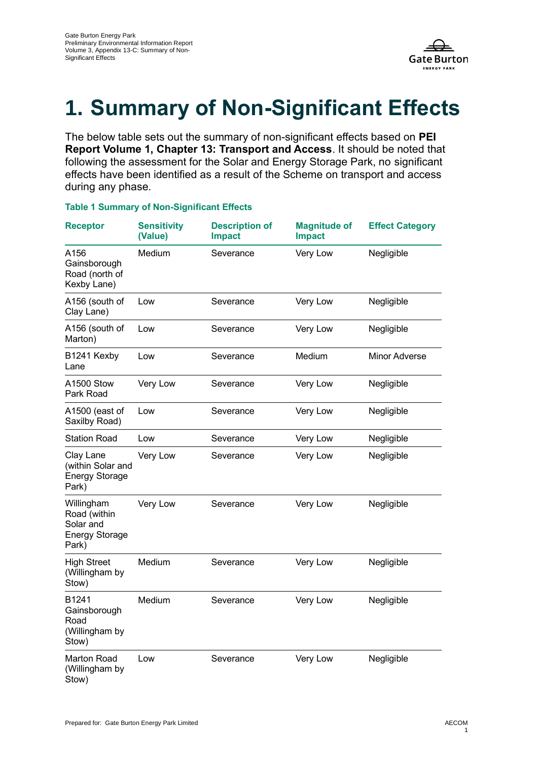

## **1. Summary of Non-Significant Effects**

The below table sets out the summary of non-significant effects based on **PEI Report Volume 1, Chapter 13: Transport and Access**. It should be noted that following the assessment for the Solar and Energy Storage Park, no significant effects have been identified as a result of the Scheme on transport and access during any phase.

## **Table 1 Summary of Non-Significant Effects**

| <b>Receptor</b>                                                           | <b>Sensitivity</b><br>(Value) | <b>Description of</b><br><b>Impact</b> | <b>Magnitude of</b><br><b>Impact</b> | <b>Effect Category</b> |
|---------------------------------------------------------------------------|-------------------------------|----------------------------------------|--------------------------------------|------------------------|
| A156<br>Gainsborough<br>Road (north of<br>Kexby Lane)                     | Medium                        | Severance                              | Very Low                             | Negligible             |
| A156 (south of<br>Clay Lane)                                              | Low                           | Severance                              | Very Low                             | Negligible             |
| A156 (south of<br>Marton)                                                 | Low                           | Severance                              | Very Low                             | Negligible             |
| B1241 Kexby<br>Lane                                                       | Low                           | Severance                              | Medium                               | Minor Adverse          |
| A1500 Stow<br>Park Road                                                   | Very Low                      | Severance                              | Very Low                             | Negligible             |
| A1500 (east of<br>Saxilby Road)                                           | Low                           | Severance                              | Very Low                             | Negligible             |
| <b>Station Road</b>                                                       | Low                           | Severance                              | Very Low                             | Negligible             |
| Clay Lane<br>(within Solar and<br><b>Energy Storage</b><br>Park)          | Very Low                      | Severance                              | Very Low                             | Negligible             |
| Willingham<br>Road (within<br>Solar and<br><b>Energy Storage</b><br>Park) | Very Low                      | Severance                              | Very Low                             | Negligible             |
| <b>High Street</b><br>(Willingham by<br>Stow)                             | Medium                        | Severance                              | Very Low                             | Negligible             |
| B1241<br>Gainsborough<br>Road<br>(Willingham by<br>Stow)                  | Medium                        | Severance                              | Very Low                             | Negligible             |
| <b>Marton Road</b><br>(Willingham by<br>Stow)                             | Low                           | Severance                              | Very Low                             | Negligible             |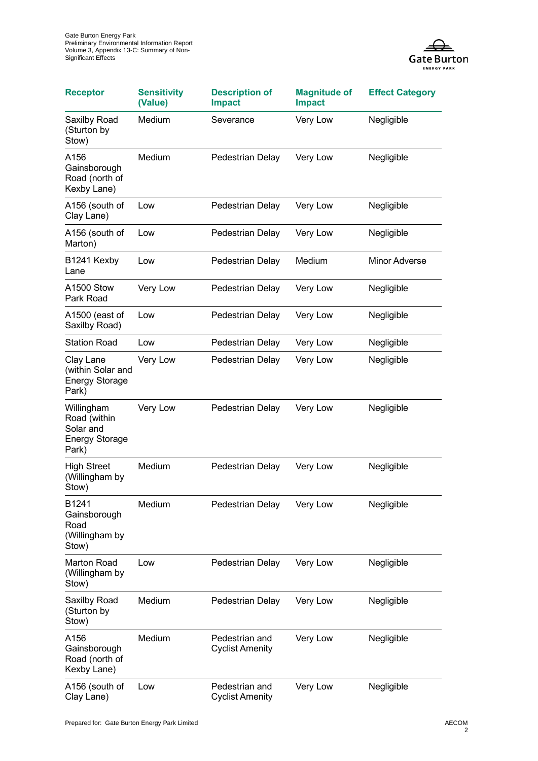

| <b>Receptor</b>                                                           | <b>Sensitivity</b><br>(Value) | <b>Description of</b><br><b>Impact</b>   | <b>Magnitude of</b><br><b>Impact</b> | <b>Effect Category</b> |
|---------------------------------------------------------------------------|-------------------------------|------------------------------------------|--------------------------------------|------------------------|
| Saxilby Road<br>(Sturton by<br>Stow)                                      | Medium                        | Severance                                | Very Low                             | Negligible             |
| A156<br>Gainsborough<br>Road (north of<br>Kexby Lane)                     | Medium                        | Pedestrian Delay                         | Very Low                             | Negligible             |
| A156 (south of<br>Clay Lane)                                              | Low                           | Pedestrian Delay                         | Very Low                             | Negligible             |
| A156 (south of<br>Marton)                                                 | Low                           | Pedestrian Delay                         | Very Low                             | Negligible             |
| B1241 Kexby<br>Lane                                                       | Low                           | Pedestrian Delay                         | Medium                               | Minor Adverse          |
| A1500 Stow<br>Park Road                                                   | Very Low                      | Pedestrian Delay                         | Very Low                             | Negligible             |
| A1500 (east of<br>Saxilby Road)                                           | Low                           | Pedestrian Delay                         | Very Low                             | Negligible             |
| <b>Station Road</b>                                                       | Low                           | Pedestrian Delay                         | Very Low                             | Negligible             |
| Clay Lane<br>(within Solar and<br><b>Energy Storage</b><br>Park)          | Very Low                      | Pedestrian Delay                         | Very Low                             | Negligible             |
| Willingham<br>Road (within<br>Solar and<br><b>Energy Storage</b><br>Park) | Very Low                      | Pedestrian Delay                         | Very Low                             | Negligible             |
| <b>High Street</b><br>(Willingham by<br>Stow)                             | Medium                        | Pedestrian Delay                         | Very Low                             | Negligible             |
| B <sub>1241</sub><br>Gainsborough<br>Road<br>(Willingham by<br>Stow)      | Medium                        | Pedestrian Delay                         | Very Low                             | Negligible             |
| Marton Road<br>(Willingham by<br>Stow)                                    | Low                           | Pedestrian Delay                         | Very Low                             | Negligible             |
| Saxilby Road<br>(Sturton by<br>Stow)                                      | Medium                        | Pedestrian Delay                         | Very Low                             | Negligible             |
| A156<br>Gainsborough<br>Road (north of<br>Kexby Lane)                     | Medium                        | Pedestrian and<br><b>Cyclist Amenity</b> | Very Low                             | Negligible             |
| A156 (south of<br>Clay Lane)                                              | Low                           | Pedestrian and<br><b>Cyclist Amenity</b> | Very Low                             | Negligible             |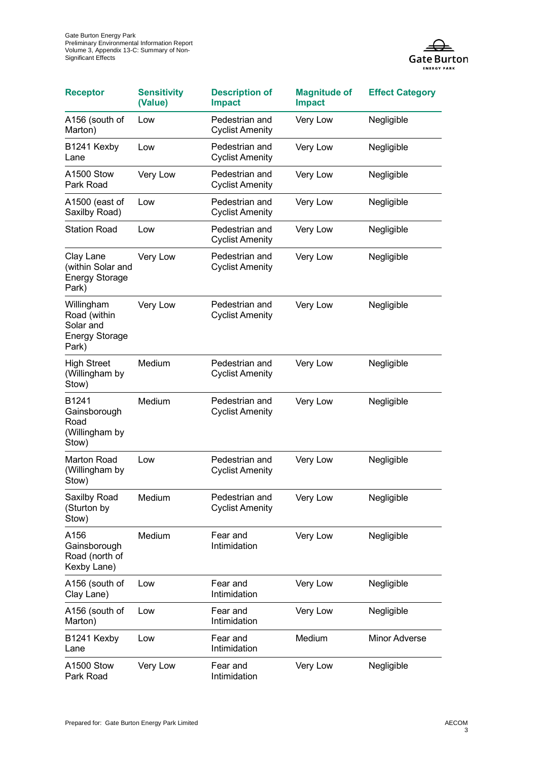

| <b>Receptor</b>                                                           | <b>Sensitivity</b><br>(Value) | <b>Description of</b><br><b>Impact</b>   | <b>Magnitude of</b><br><b>Impact</b> | <b>Effect Category</b> |
|---------------------------------------------------------------------------|-------------------------------|------------------------------------------|--------------------------------------|------------------------|
| A156 (south of<br>Marton)                                                 | Low                           | Pedestrian and<br><b>Cyclist Amenity</b> | Very Low                             | Negligible             |
| B1241 Kexby<br>Lane                                                       | Low                           | Pedestrian and<br><b>Cyclist Amenity</b> | Very Low                             | Negligible             |
| A1500 Stow<br>Park Road                                                   | Very Low                      | Pedestrian and<br><b>Cyclist Amenity</b> | Very Low                             | Negligible             |
| A1500 (east of<br>Saxilby Road)                                           | Low                           | Pedestrian and<br><b>Cyclist Amenity</b> | Very Low                             | Negligible             |
| <b>Station Road</b>                                                       | Low                           | Pedestrian and<br><b>Cyclist Amenity</b> | Very Low                             | Negligible             |
| Clay Lane<br>(within Solar and<br><b>Energy Storage</b><br>Park)          | Very Low                      | Pedestrian and<br><b>Cyclist Amenity</b> | Very Low                             | Negligible             |
| Willingham<br>Road (within<br>Solar and<br><b>Energy Storage</b><br>Park) | Very Low                      | Pedestrian and<br><b>Cyclist Amenity</b> | Very Low                             | Negligible             |
| <b>High Street</b><br>(Willingham by<br>Stow)                             | Medium                        | Pedestrian and<br><b>Cyclist Amenity</b> | Very Low                             | Negligible             |
| B1241<br>Gainsborough<br>Road<br>(Willingham by<br>Stow)                  | Medium                        | Pedestrian and<br><b>Cyclist Amenity</b> | Very Low                             | Negligible             |
| Marton Road<br>(Willingham by<br>Stow)                                    | Low                           | Pedestrian and<br><b>Cyclist Amenity</b> | Very Low                             | Negligible             |
| Saxilby Road<br>(Sturton by<br>Stow)                                      | Medium                        | Pedestrian and<br><b>Cyclist Amenity</b> | Very Low                             | Negligible             |
| A156<br>Gainsborough<br>Road (north of<br>Kexby Lane)                     | Medium                        | Fear and<br>Intimidation                 | Very Low                             | Negligible             |
| A156 (south of<br>Clay Lane)                                              | Low                           | Fear and<br>Intimidation                 | Very Low                             | Negligible             |
| A156 (south of<br>Marton)                                                 | Low                           | Fear and<br>Intimidation                 | Very Low                             | Negligible             |
| B1241 Kexby<br>Lane                                                       | Low                           | Fear and<br>Intimidation                 | Medium                               | <b>Minor Adverse</b>   |
| A1500 Stow<br>Park Road                                                   | Very Low                      | Fear and<br>Intimidation                 | Very Low                             | Negligible             |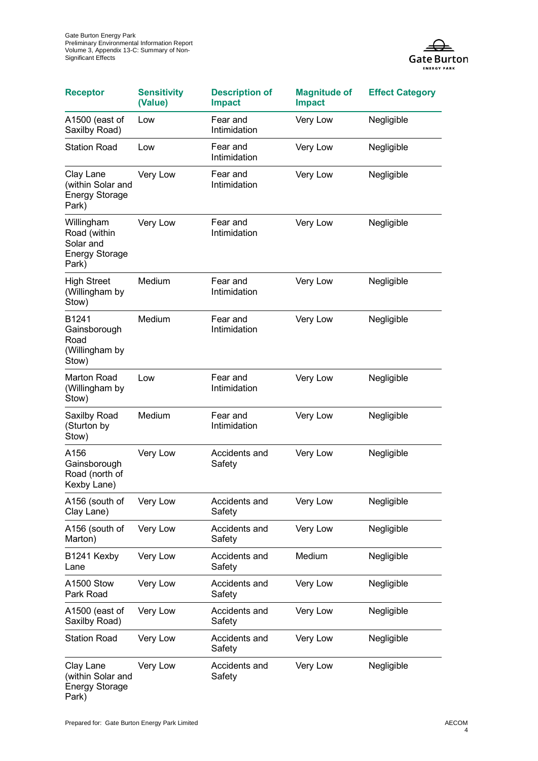

| <b>Receptor</b>                                                           | <b>Sensitivity</b><br>(Value) | <b>Description of</b><br><b>Impact</b> | <b>Magnitude of</b><br><b>Impact</b> | <b>Effect Category</b> |
|---------------------------------------------------------------------------|-------------------------------|----------------------------------------|--------------------------------------|------------------------|
| A1500 (east of<br>Saxilby Road)                                           | Low                           | Fear and<br>Intimidation               | Very Low                             | Negligible             |
| <b>Station Road</b>                                                       | Low                           | Fear and<br>Intimidation               | Very Low                             | Negligible             |
| Clay Lane<br>(within Solar and<br><b>Energy Storage</b><br>Park)          | Very Low                      | Fear and<br>Intimidation               | Very Low                             | Negligible             |
| Willingham<br>Road (within<br>Solar and<br><b>Energy Storage</b><br>Park) | Very Low                      | Fear and<br>Intimidation               | Very Low                             | Negligible             |
| <b>High Street</b><br>(Willingham by<br>Stow)                             | Medium                        | Fear and<br>Intimidation               | Very Low                             | Negligible             |
| B1241<br>Gainsborough<br>Road<br>(Willingham by<br>Stow)                  | Medium                        | Fear and<br>Intimidation               | Very Low                             | Negligible             |
| <b>Marton Road</b><br>(Willingham by<br>Stow)                             | Low                           | Fear and<br>Intimidation               | Very Low                             | Negligible             |
| Saxilby Road<br>(Sturton by<br>Stow)                                      | Medium                        | Fear and<br>Intimidation               | Very Low                             | Negligible             |
| A156<br>Gainsborough<br>Road (north of<br>Kexby Lane)                     | Very Low                      | Accidents and<br>Safety                | Very Low                             | Negligible             |
| A156 (south of<br>Clay Lane)                                              | Very Low                      | Accidents and<br>Safety                | Very Low                             | Negligible             |
| A156 (south of<br>Marton)                                                 | Very Low                      | Accidents and<br>Safety                | Very Low                             | Negligible             |
| B1241 Kexby<br>Lane                                                       | Very Low                      | Accidents and<br>Safety                | Medium                               | Negligible             |
| A1500 Stow<br>Park Road                                                   | Very Low                      | Accidents and<br>Safety                | Very Low                             | Negligible             |
| A1500 (east of<br>Saxilby Road)                                           | Very Low                      | Accidents and<br>Safety                | Very Low                             | Negligible             |
| <b>Station Road</b>                                                       | Very Low                      | Accidents and<br>Safety                | Very Low                             | Negligible             |
| Clay Lane<br>(within Solar and<br><b>Energy Storage</b><br>Park)          | Very Low                      | Accidents and<br>Safety                | Very Low                             | Negligible             |